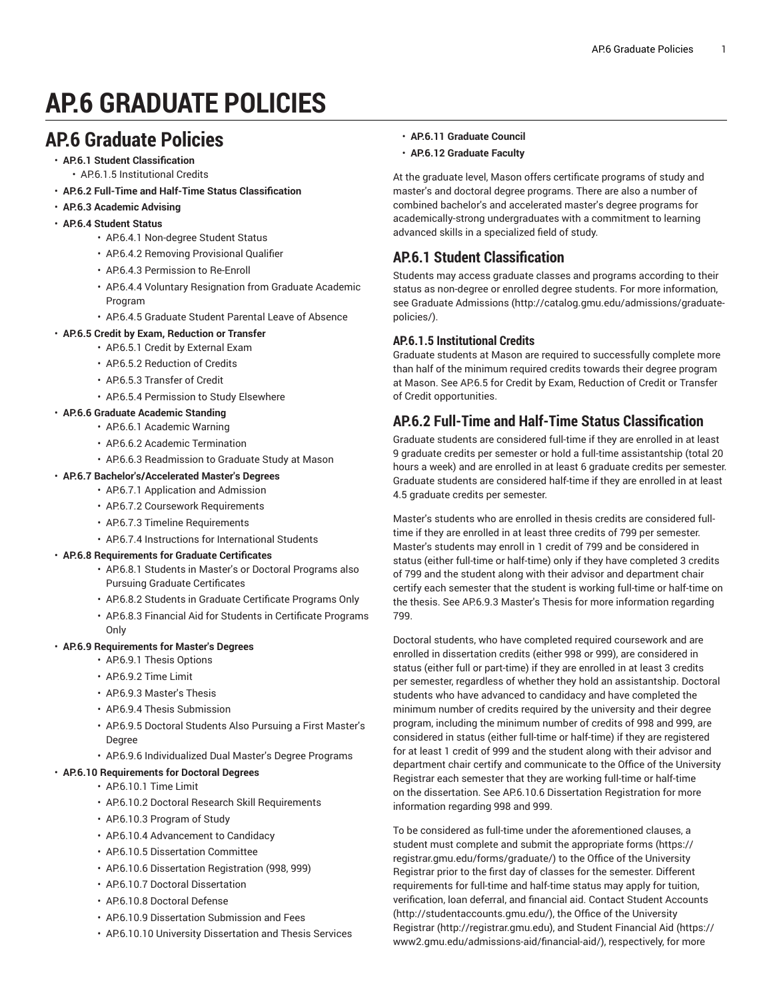# **AP.6 GRADUATE POLICIES**

# **AP.6 Graduate Policies**

- **AP.6.1 Student Classification** • AP.6.1.5 Institutional Credits
- **AP.6.2 Full-Time and Half-Time Status Classification**
- **AP.6.3 Academic Advising**
- **AP.6.4 Student Status**
	- AP.6.4.1 [Non-degree](#page-1-0) Student Status
	- AP.6.4.2 Removing [Provisional](#page-1-1) Qualifier
	- AP.6.4.3 [Permission](#page-1-2) to Re-Enroll
	- AP.6.4.4 Voluntary [Resignation](#page-1-3) from Graduate Academic [Program](#page-1-3)
	- AP.6.4.5 [Graduate](#page-1-4) Student Parental Leave of Absence
- **AP.6.5 Credit by Exam, Reduction or Transfer**
- AP.6.5.1 Credit by [External](#page-2-0) Exam
	- AP.6.5.2 [Reduction](#page-2-1) of Credits
	- AP.6.5.3 [Transfer](#page-3-0) of Credit
	- AP.6.5.4 [Permission](#page-3-1) to Study Elsewhere

# • **AP.6.6 Graduate Academic Standing**

- AP.6.6.1 [Academic](#page-3-2) Warning
- AP.6.6.2 Academic [Termination](#page-3-3)
- AP.6.6.3 [Readmission](#page-4-0) to Graduate Study at Mason

# • **AP.6.7 Bachelor's/Accelerated Master's Degrees**

- AP.6.7.1 [Application](#page-4-1) and Admission
	- AP.6.7.2 Coursework [Requirements](#page-4-2)
	- AP.6.7.3 Timeline [Requirements](#page-4-3)
- AP.6.7.4 Instructions for [International](#page-5-0) Students

# • **AP.6.8 Requirements for Graduate Certificates**

- AP.6.8.1 Students in Master's or Doctoral [Programs](#page-5-1) also Pursuing Graduate [Certificates](#page-5-1)
- AP.6.8.2 Students in Graduate [Certificate](#page-5-2) Programs Only
- AP.6.8.3 Financial Aid for Students in [Certificate](#page-6-0) Programs [Only](#page-6-0)

# • **AP.6.9 Requirements for Master's Degrees**

- [AP.6.9.1](#page-6-1) Thesis Options
- [AP.6.9.2](#page-6-2) Time Limit
- AP6.9.3 [Master's](#page-6-3) Thesis
- AP.6.9.4 Thesis [Submission](#page-7-0)
- AP.6.9.5 Doctoral [Students](#page-7-1) Also Pursuing a First Master's [Degree](#page-7-1)
- AP.6.9.6 [Individualized](#page-7-2) Dual Master's Degree Programs

# • **AP.6.10 Requirements for Doctoral Degrees**

- [AP.6.10.1](#page-8-0) Time Limit
- AP.6.10.2 Doctoral Research Skill [Requirements](#page-8-1)
- [AP.6.10.3](#page-9-0) Program of Study
- AP.6.10.4 [Advancement](#page-9-1) to Candidacy
- AP.6.10.5 [Dissertation](#page-9-2) Committee
- AP.6.10.6 Dissertation [Registration](#page-10-0) (998, 999)
- AP.6.10.7 Doctoral [Dissertation](#page-10-1)
- AP6.10.8 Doctoral Defense
- AP.6.10.9 [Dissertation](#page-10-3) Submission and Fees
- AP.6.10.10 University [Dissertation](#page-11-0) and Thesis Services
- **AP.6.11 Graduate Council**
- **AP.6.12 Graduate Faculty**

At the graduate level, Mason offers certificate programs of study and master's and doctoral degree programs. There are also a number of combined bachelor's and accelerated master's degree programs for academically-strong undergraduates with a commitment to learning advanced skills in a specialized field of study.

# **AP.6.1 Student Classification**

Students may access graduate classes and programs according to their status as non-degree or enrolled degree students. For more information, see [Graduate Admissions](http://catalog.gmu.edu/admissions/graduate-policies/) [\(http://catalog.gmu.edu/admissions/graduate](http://catalog.gmu.edu/admissions/graduate-policies/)[policies/](http://catalog.gmu.edu/admissions/graduate-policies/)).

# **AP.6.1.5 Institutional Credits**

Graduate students at Mason are required to successfully complete more than half of the minimum required credits towards their degree program at Mason. See AP.6.5 for Credit by Exam, Reduction of Credit or Transfer of Credit opportunities.

# <span id="page-0-0"></span>**AP.6.2 Full-Time and Half-Time Status Classification**

Graduate students are considered full-time if they are enrolled in at least 9 graduate credits per semester or hold a full-time assistantship (total 20 hours a week) and are enrolled in at least 6 graduate credits per semester. Graduate students are considered half-time if they are enrolled in at least 4.5 graduate credits per semester.

Master's students who are enrolled in thesis credits are considered fulltime if they are enrolled in at least three credits of 799 per semester. Master's students may enroll in 1 credit of 799 and be considered in status (either full-time or half-time) only if they have completed 3 credits of 799 and the student along with their advisor and department chair certify each semester that the student is working full-time or half-time on the thesis. See AP.6.9.3 [Master's](#page-6-3) Thesis for more information regarding 799.

Doctoral students, who have completed required coursework and are enrolled in dissertation credits (either 998 or 999), are considered in status (either full or part-time) if they are enrolled in at least 3 credits per semester, regardless of whether they hold an assistantship. Doctoral students who have advanced to candidacy and have completed the minimum number of credits required by the university and their degree program, including the minimum number of credits of 998 and 999, are considered in status (either full-time or half-time) if they are registered for at least 1 credit of 999 and the student along with their advisor and department chair certify and communicate to the Office of the University Registrar each semester that they are working full-time or half-time on the dissertation. See AP.6.10.6 Dissertation [Registration](#page-10-0) for more information regarding 998 and 999.

To be considered as full-time under the aforementioned clauses, a student must complete and submit the appropriate [forms](https://registrar.gmu.edu/forms/graduate/) [\(https://](https://registrar.gmu.edu/forms/graduate/) [registrar.gmu.edu/forms/graduate/\)](https://registrar.gmu.edu/forms/graduate/) to the Office of the University Registrar prior to the first day of classes for the semester. Different requirements for full-time and half-time status may apply for tuition, verification, loan deferral, and financial aid. Contact [Student Accounts](http://studentaccounts.gmu.edu/) [\(http://studentaccounts.gmu.edu/](http://studentaccounts.gmu.edu/)), the Office of the [University](http://registrar.gmu.edu) [Registrar](http://registrar.gmu.edu) (<http://registrar.gmu.edu>), and [Student Financial Aid](https://www2.gmu.edu/admissions-aid/financial-aid/) ([https://](https://www2.gmu.edu/admissions-aid/financial-aid/) [www2.gmu.edu/admissions-aid/financial-aid/](https://www2.gmu.edu/admissions-aid/financial-aid/)), respectively, for more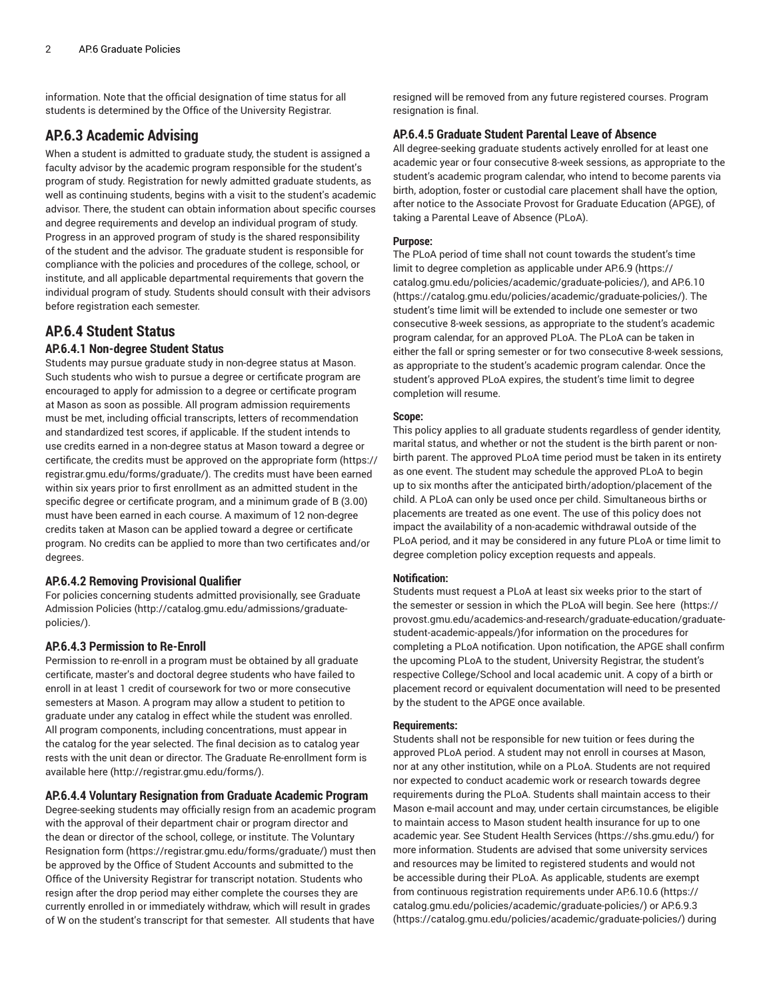information. Note that the official designation of time status for all students is determined by the Office of the University Registrar.

# **AP.6.3 Academic Advising**

When a student is admitted to graduate study, the student is assigned a faculty advisor by the academic program responsible for the student's program of study. Registration for newly admitted graduate students, as well as continuing students, begins with a visit to the student's academic advisor. There, the student can obtain information about specific courses and degree requirements and develop an individual program of study. Progress in an approved program of study is the shared responsibility of the student and the advisor. The graduate student is responsible for compliance with the policies and procedures of the college, school, or institute, and all applicable departmental requirements that govern the individual program of study. Students should consult with their advisors before registration each semester.

# <span id="page-1-0"></span>**AP.6.4 Student Status**

#### **AP.6.4.1 Non-degree Student Status**

Students may pursue graduate study in non-degree status at Mason. Such students who wish to pursue a degree or certificate program are encouraged to apply for admission to a degree or certificate program at Mason as soon as possible. All program admission requirements must be met, including official transcripts, letters of recommendation and standardized test scores, if applicable. If the student intends to use credits earned in a non-degree status at Mason toward a degree or certificate, the credits must be approved on the appropriate [form](https://registrar.gmu.edu/forms/graduate/) ([https://](https://registrar.gmu.edu/forms/graduate/) [registrar.gmu.edu/forms/graduate/\)](https://registrar.gmu.edu/forms/graduate/). The credits must have been earned within six years prior to first enrollment as an admitted student in the specific degree or certificate program, and a minimum grade of B (3.00) must have been earned in each course. A maximum of 12 non-degree credits taken at Mason can be applied toward a degree or certificate program. No credits can be applied to more than two certificates and/or degrees.

#### <span id="page-1-1"></span>**AP.6.4.2 Removing Provisional Qualifier**

For policies concerning students admitted provisionally, see [Graduate](http://catalog.gmu.edu/admissions/graduate-policies/) [Admission](http://catalog.gmu.edu/admissions/graduate-policies/) Policies [\(http://catalog.gmu.edu/admissions/graduate](http://catalog.gmu.edu/admissions/graduate-policies/)[policies/](http://catalog.gmu.edu/admissions/graduate-policies/)).

#### <span id="page-1-2"></span>**AP.6.4.3 Permission to Re-Enroll**

Permission to re-enroll in a program must be obtained by all graduate certificate, master's and doctoral degree students who have failed to enroll in at least 1 credit of coursework for two or more consecutive semesters at Mason. A program may allow a student to petition to graduate under any catalog in effect while the student was enrolled. All program components, including concentrations, must appear in the catalog for the year selected. The final decision as to catalog year rests with the unit dean or director. The Graduate Re-enrollment form is available [here \(http://registrar.gmu.edu/forms/](http://registrar.gmu.edu/forms/)).

#### <span id="page-1-3"></span>**AP.6.4.4 Voluntary Resignation from Graduate Academic Program**

Degree-seeking students may officially resign from an academic program with the approval of their department chair or program director and the dean or director of the school, college, or institute. The Voluntary Resignation [form](https://registrar.gmu.edu/forms/graduate/) ([https://registrar.gmu.edu/forms/graduate/\)](https://registrar.gmu.edu/forms/graduate/) must then be approved by the Office of Student Accounts and submitted to the Office of the University Registrar for transcript notation. Students who resign after the drop period may either complete the courses they are currently enrolled in or immediately withdraw, which will result in grades of W on the student's transcript for that semester. All students that have

resigned will be removed from any future registered courses. Program resignation is final.

#### <span id="page-1-4"></span>**AP.6.4.5 Graduate Student Parental Leave of Absence**

All degree-seeking graduate students actively enrolled for at least one academic year or four consecutive 8-week sessions, as appropriate to the student's academic program calendar, who intend to become parents via birth, adoption, foster or custodial care placement shall have the option, after notice to the Associate Provost for Graduate Education (APGE), of taking a Parental Leave of Absence (PLoA).

#### **Purpose:**

The PLoA period of time shall not count towards the student's time limit to degree completion as applicable under [AP.6.9](https://catalog.gmu.edu/policies/academic/graduate-policies/) ([https://](https://catalog.gmu.edu/policies/academic/graduate-policies/) [catalog.gmu.edu/policies/academic/graduate-policies/](https://catalog.gmu.edu/policies/academic/graduate-policies/)), and [AP.6.10](https://catalog.gmu.edu/policies/academic/graduate-policies/) [\(https://catalog.gmu.edu/policies/academic/graduate-policies/](https://catalog.gmu.edu/policies/academic/graduate-policies/)). The student's time limit will be extended to include one semester or two consecutive 8-week sessions, as appropriate to the student's academic program calendar, for an approved PLoA. The PLoA can be taken in either the fall or spring semester or for two consecutive 8-week sessions, as appropriate to the student's academic program calendar. Once the student's approved PLoA expires, the student's time limit to degree completion will resume.

#### **Scope:**

This policy applies to all graduate students regardless of gender identity, marital status, and whether or not the student is the birth parent or nonbirth parent. The approved PLoA time period must be taken in its entirety as one event. The student may schedule the approved PLoA to begin up to six months after the anticipated birth/adoption/placement of the child. A PLoA can only be used once per child. Simultaneous births or placements are treated as one event. The use of this policy does not impact the availability of a non-academic withdrawal outside of the PLoA period, and it may be considered in any future PLoA or time limit to degree completion policy exception requests and appeals.

#### **Notification:**

Students must request a PLoA at least six weeks prior to the start of the semester or session in which the PLoA will begin. See [here](https://provost.gmu.edu/academics-and-research/graduate-education/graduate-student-academic-appeals/) ([https://](https://provost.gmu.edu/academics-and-research/graduate-education/graduate-student-academic-appeals/) [provost.gmu.edu/academics-and-research/graduate-education/graduate](https://provost.gmu.edu/academics-and-research/graduate-education/graduate-student-academic-appeals/)[student-academic-appeals/\)](https://provost.gmu.edu/academics-and-research/graduate-education/graduate-student-academic-appeals/)for information on the procedures for completing a PLoA notification. Upon notification, the APGE shall confirm the upcoming PLoA to the student, University Registrar, the student's respective College/School and local academic unit. A copy of a birth or placement record or equivalent documentation will need to be presented by the student to the APGE once available.

#### **Requirements:**

Students shall not be responsible for new tuition or fees during the approved PLoA period. A student may not enroll in courses at Mason, nor at any other institution, while on a PLoA. Students are not required nor expected to conduct academic work or research towards degree requirements during the PLoA. Students shall maintain access to their Mason e-mail account and may, under certain circumstances, be eligible to maintain access to Mason student health insurance for up to one academic year. See Student Health [Services](https://shs.gmu.edu/) (<https://shs.gmu.edu/>) for more information. Students are advised that some university services and resources may be limited to registered students and would not be accessible during their PLoA. As applicable, students are exempt from continuous registration requirements under [AP.6.10.6](https://catalog.gmu.edu/policies/academic/graduate-policies/) [\(https://](https://catalog.gmu.edu/policies/academic/graduate-policies/) [catalog.gmu.edu/policies/academic/graduate-policies/](https://catalog.gmu.edu/policies/academic/graduate-policies/)) or [AP.6.9.3](https://catalog.gmu.edu/policies/academic/graduate-policies/) [\(https://catalog.gmu.edu/policies/academic/graduate-policies/](https://catalog.gmu.edu/policies/academic/graduate-policies/)) during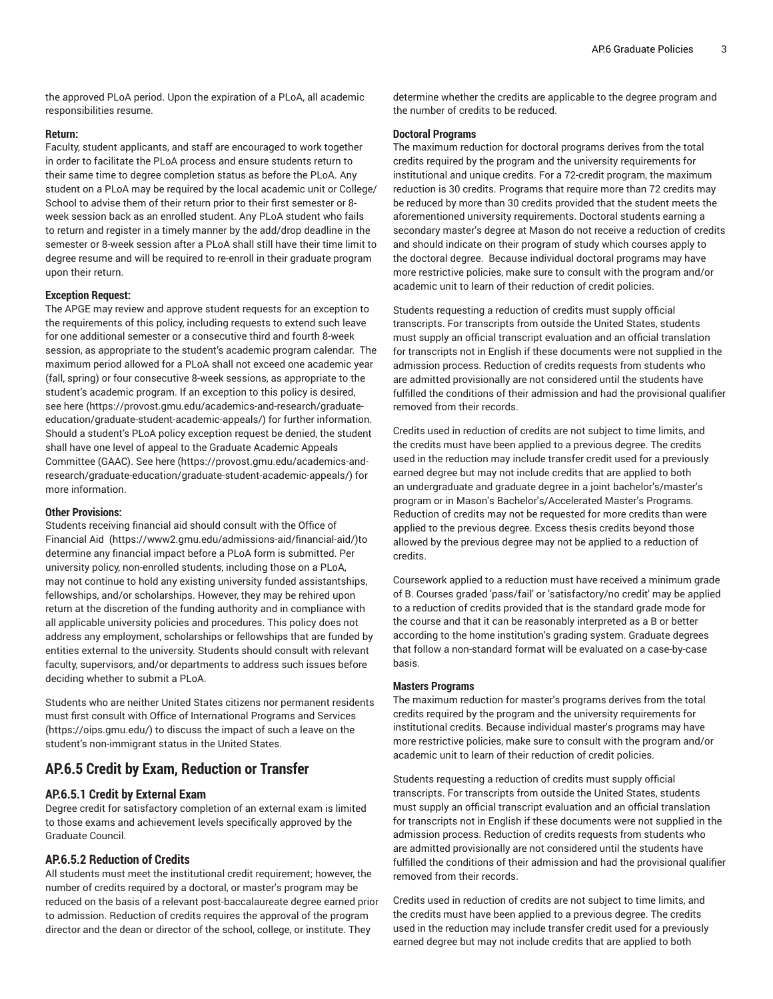the approved PLoA period. Upon the expiration of a PLoA, all academic responsibilities resume.

#### **Return:**

Faculty, student applicants, and staff are encouraged to work together in order to facilitate the PLoA process and ensure students return to their same time to degree completion status as before the PLoA. Any student on a PLoA may be required by the local academic unit or College/ School to advise them of their return prior to their first semester or 8 week session back as an enrolled student. Any PLoA student who fails to return and register in a timely manner by the add/drop deadline in the semester or 8-week session after a PLoA shall still have their time limit to degree resume and will be required to re-enroll in their graduate program upon their return.

#### **Exception Request:**

The APGE may review and approve student requests for an exception to the requirements of this policy, including requests to extend such leave for one additional semester or a consecutive third and fourth 8-week session, as appropriate to the student's academic program calendar. The maximum period allowed for a PLoA shall not exceed one academic year (fall, spring) or four consecutive 8-week sessions, as appropriate to the student's academic program. If an exception to this policy is desired, see [here](https://provost.gmu.edu/academics-and-research/graduate-education/graduate-student-academic-appeals/) ([https://provost.gmu.edu/academics-and-research/graduate](https://provost.gmu.edu/academics-and-research/graduate-education/graduate-student-academic-appeals/)[education/graduate-student-academic-appeals/\)](https://provost.gmu.edu/academics-and-research/graduate-education/graduate-student-academic-appeals/) for further information. Should a student's PLoA policy exception request be denied, the student shall have one level of appeal to the Graduate Academic Appeals Committee (GAAC). See [here \(https://provost.gmu.edu/academics-and](https://provost.gmu.edu/academics-and-research/graduate-education/graduate-student-academic-appeals/)[research/graduate-education/graduate-student-academic-appeals/\)](https://provost.gmu.edu/academics-and-research/graduate-education/graduate-student-academic-appeals/) for more information.

#### **Other Provisions:**

Students receiving financial aid should consult with the [Office of](https://www2.gmu.edu/admissions-aid/financial-aid/) [Financial Aid](https://www2.gmu.edu/admissions-aid/financial-aid/)  [\(https://www2.gmu.edu/admissions-aid/financial-aid/](https://www2.gmu.edu/admissions-aid/financial-aid/))to determine any financial impact before a PLoA form is submitted. Per university policy, non-enrolled students, including those on a PLoA, may not continue to hold any existing university funded assistantships, fellowships, and/or scholarships. However, they may be rehired upon return at the discretion of the funding authority and in compliance with all applicable university policies and procedures. This policy does not address any employment, scholarships or fellowships that are funded by entities external to the university. Students should consult with relevant faculty, supervisors, and/or departments to address such issues before deciding whether to submit a PLoA.

Students who are neither United States citizens nor permanent residents must first consult with Office of [International](https://oips.gmu.edu/) Programs and Services (<https://oips.gmu.edu/>) to discuss the impact of such a leave on the student's non-immigrant status in the United States.

# <span id="page-2-2"></span><span id="page-2-0"></span>**AP.6.5 Credit by Exam, Reduction or Transfer**

## **AP.6.5.1 Credit by External Exam**

Degree credit for satisfactory completion of an external exam is limited to those exams and achievement levels specifically approved by the Graduate Council.

# <span id="page-2-1"></span>**AP.6.5.2 Reduction of Credits**

All students must meet the institutional credit requirement; however, the number of credits required by a doctoral, or master's program may be reduced on the basis of a relevant post-baccalaureate degree earned prior to admission. Reduction of credits requires the approval of the program director and the dean or director of the school, college, or institute. They

determine whether the credits are applicable to the degree program and the number of credits to be reduced.

#### **Doctoral Programs**

The maximum reduction for doctoral programs derives from the total credits required by the program and the university requirements for institutional and unique credits. For a 72-credit program, the maximum reduction is 30 credits. Programs that require more than 72 credits may be reduced by more than 30 credits provided that the student meets the aforementioned university requirements. Doctoral students earning a secondary master's degree at Mason do not receive a reduction of credits and should indicate on their program of study which courses apply to the doctoral degree. Because individual doctoral programs may have more restrictive policies, make sure to consult with the program and/or academic unit to learn of their reduction of credit policies.

Students requesting a reduction of credits must supply official transcripts. For transcripts from outside the United States, students must supply an official transcript evaluation and an official translation for transcripts not in English if these documents were not supplied in the admission process. Reduction of credits requests from students who are admitted provisionally are not considered until the students have fulfilled the conditions of their admission and had the provisional qualifier removed from their records.

Credits used in reduction of credits are not subject to time limits, and the credits must have been applied to a previous degree. The credits used in the reduction may include transfer credit used for a previously earned degree but may not include credits that are applied to both an undergraduate and graduate degree in a joint bachelor's/master's program or in Mason's Bachelor's/Accelerated Master's Programs. Reduction of credits may not be requested for more credits than were applied to the previous degree. Excess thesis credits beyond those allowed by the previous degree may not be applied to a reduction of credits.

Coursework applied to a reduction must have received a minimum grade of B. Courses graded 'pass/fail' or 'satisfactory/no credit' may be applied to a reduction of credits provided that is the standard grade mode for the course and that it can be reasonably interpreted as a B or better according to the home institution's grading system. Graduate degrees that follow a non-standard format will be evaluated on a case-by-case basis.

#### **Masters Programs**

The maximum reduction for master's programs derives from the total credits required by the program and the university requirements for institutional credits. Because individual master's programs may have more restrictive policies, make sure to consult with the program and/or academic unit to learn of their reduction of credit policies.

Students requesting a reduction of credits must supply official transcripts. For transcripts from outside the United States, students must supply an official transcript evaluation and an official translation for transcripts not in English if these documents were not supplied in the admission process. Reduction of credits requests from students who are admitted provisionally are not considered until the students have fulfilled the conditions of their admission and had the provisional qualifier removed from their records.

Credits used in reduction of credits are not subject to time limits, and the credits must have been applied to a previous degree. The credits used in the reduction may include transfer credit used for a previously earned degree but may not include credits that are applied to both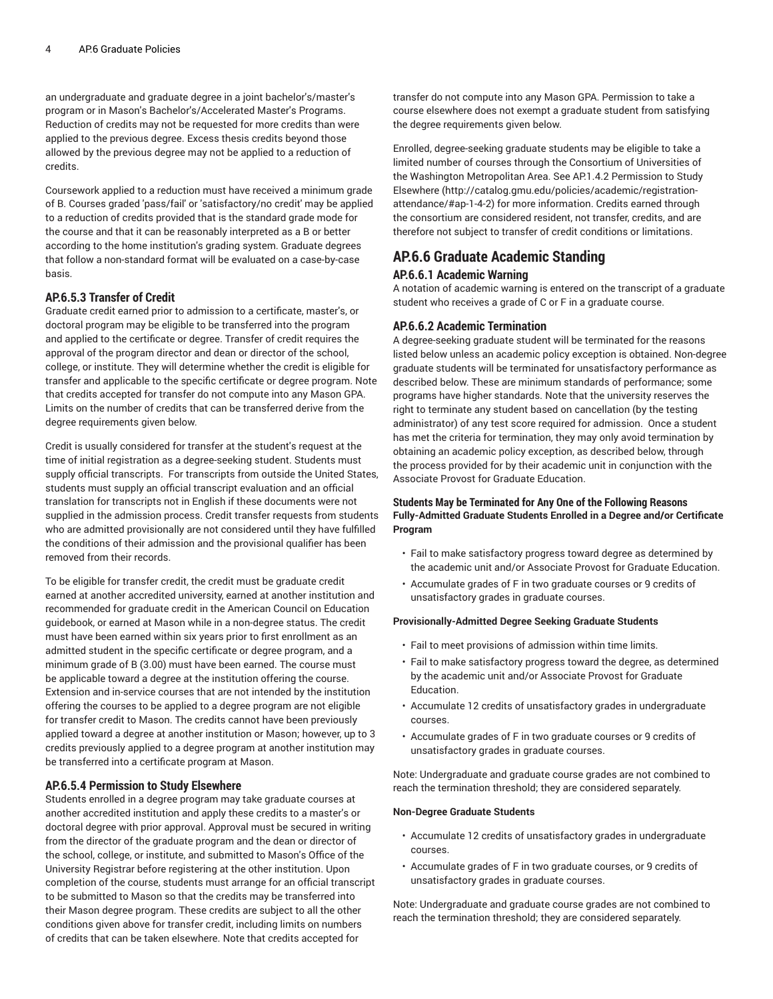an undergraduate and graduate degree in a joint bachelor's/master's program or in Mason's Bachelor's/Accelerated Master's Programs. Reduction of credits may not be requested for more credits than were applied to the previous degree. Excess thesis credits beyond those allowed by the previous degree may not be applied to a reduction of credits.

Coursework applied to a reduction must have received a minimum grade of B. Courses graded 'pass/fail' or 'satisfactory/no credit' may be applied to a reduction of credits provided that is the standard grade mode for the course and that it can be reasonably interpreted as a B or better according to the home institution's grading system. Graduate degrees that follow a non-standard format will be evaluated on a case-by-case basis.

## <span id="page-3-0"></span>**AP.6.5.3 Transfer of Credit**

Graduate credit earned prior to admission to a certificate, master's, or doctoral program may be eligible to be transferred into the program and applied to the certificate or degree. Transfer of credit requires the approval of the program director and dean or director of the school, college, or institute. They will determine whether the credit is eligible for transfer and applicable to the specific certificate or degree program. Note that credits accepted for transfer do not compute into any Mason GPA. Limits on the number of credits that can be transferred derive from the degree requirements given below.

Credit is usually considered for transfer at the student's request at the time of initial registration as a degree-seeking student. Students must supply official transcripts. For transcripts from outside the United States, students must supply an official transcript evaluation and an official translation for transcripts not in English if these documents were not supplied in the admission process. Credit transfer requests from students who are admitted provisionally are not considered until they have fulfilled the conditions of their admission and the provisional qualifier has been removed from their records.

To be eligible for transfer credit, the credit must be graduate credit earned at another accredited university, earned at another institution and recommended for graduate credit in the American Council on Education guidebook, or earned at Mason while in a non-degree status. The credit must have been earned within six years prior to first enrollment as an admitted student in the specific certificate or degree program, and a minimum grade of B (3.00) must have been earned. The course must be applicable toward a degree at the institution offering the course. Extension and in-service courses that are not intended by the institution offering the courses to be applied to a degree program are not eligible for transfer credit to Mason. The credits cannot have been previously applied toward a degree at another institution or Mason; however, up to 3 credits previously applied to a degree program at another institution may be transferred into a certificate program at Mason.

#### <span id="page-3-1"></span>**AP.6.5.4 Permission to Study Elsewhere**

Students enrolled in a degree program may take graduate courses at another accredited institution and apply these credits to a master's or doctoral degree with prior approval. Approval must be secured in writing from the director of the graduate program and the dean or director of the school, college, or institute, and submitted to Mason's Office of the University Registrar before registering at the other institution. Upon completion of the course, students must arrange for an official transcript to be submitted to Mason so that the credits may be transferred into their Mason degree program. These credits are subject to all the other conditions given above for transfer credit, including limits on numbers of credits that can be taken elsewhere. Note that credits accepted for

transfer do not compute into any Mason GPA. Permission to take a course elsewhere does not exempt a graduate student from satisfying the degree requirements given below.

Enrolled, degree-seeking graduate students may be eligible to take a limited number of courses through the Consortium of Universities of the Washington Metropolitan Area. See AP.1.4.2 [Permission](http://catalog.gmu.edu/policies/academic/registration-attendance/#ap-1-4-2) to Study [Elsewhere](http://catalog.gmu.edu/policies/academic/registration-attendance/#ap-1-4-2) ([http://catalog.gmu.edu/policies/academic/registration](http://catalog.gmu.edu/policies/academic/registration-attendance/#ap-1-4-2)[attendance/#ap-1-4-2](http://catalog.gmu.edu/policies/academic/registration-attendance/#ap-1-4-2)) for more information. Credits earned through the consortium are considered resident, not transfer, credits, and are therefore not subject to transfer of credit conditions or limitations.

# <span id="page-3-2"></span>**AP.6.6 Graduate Academic Standing AP.6.6.1 Academic Warning**

A notation of academic warning is entered on the transcript of a graduate student who receives a grade of C or F in a graduate course.

## <span id="page-3-3"></span>**AP.6.6.2 Academic Termination**

A degree-seeking graduate student will be terminated for the reasons listed below unless an academic policy exception is obtained. Non-degree graduate students will be terminated for unsatisfactory performance as described below. These are minimum standards of performance; some programs have higher standards. Note that the university reserves the right to terminate any student based on cancellation (by the testing administrator) of any test score required for admission. Once a student has met the criteria for termination, they may only avoid termination by obtaining an academic policy exception, as described below, through the process provided for by their academic unit in conjunction with the Associate Provost for Graduate Education.

# **Students May be Terminated for Any One of the Following Reasons Fully-Admitted Graduate Students Enrolled in a Degree and/or Certificate Program**

- Fail to make satisfactory progress toward degree as determined by the academic unit and/or Associate Provost for Graduate Education.
- Accumulate grades of F in two graduate courses or 9 credits of unsatisfactory grades in graduate courses.

#### **Provisionally-Admitted Degree Seeking Graduate Students**

- Fail to meet provisions of admission within time limits.
- Fail to make satisfactory progress toward the degree, as determined by the academic unit and/or Associate Provost for Graduate Education.
- Accumulate 12 credits of unsatisfactory grades in undergraduate courses.
- Accumulate grades of F in two graduate courses or 9 credits of unsatisfactory grades in graduate courses.

Note: Undergraduate and graduate course grades are not combined to reach the termination threshold; they are considered separately.

#### **Non-Degree Graduate Students**

- Accumulate 12 credits of unsatisfactory grades in undergraduate courses.
- Accumulate grades of F in two graduate courses, or 9 credits of unsatisfactory grades in graduate courses.

Note: Undergraduate and graduate course grades are not combined to reach the termination threshold; they are considered separately.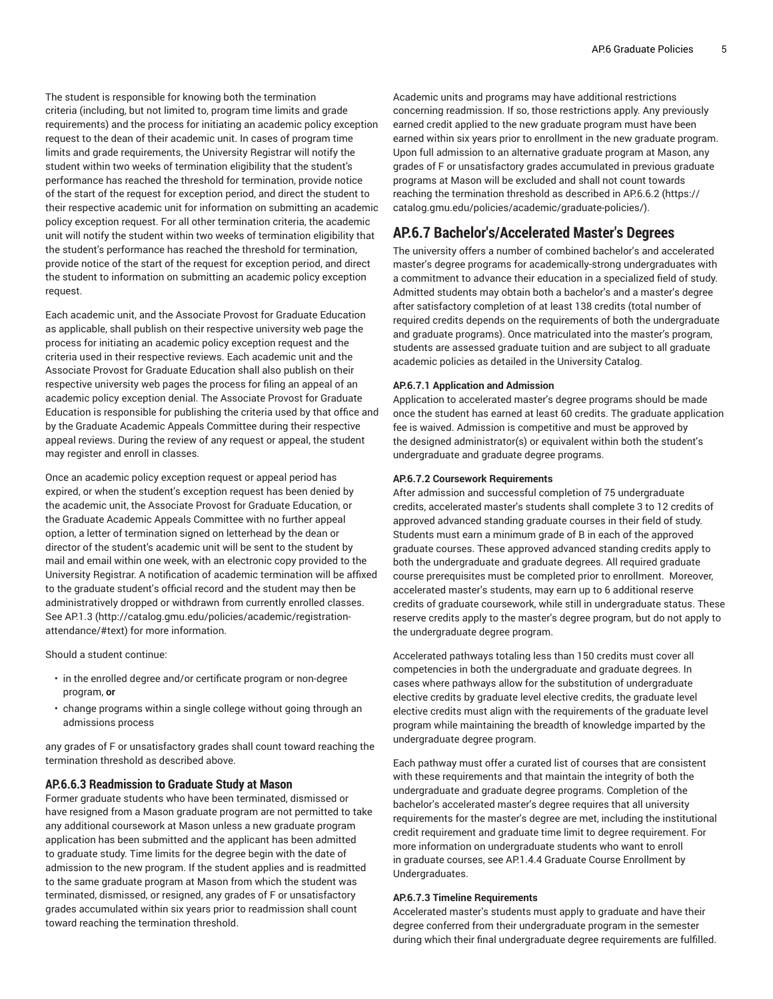The student is responsible for knowing both the termination criteria (including, but not limited to, program time limits and grade requirements) and the process for initiating an academic policy exception request to the dean of their academic unit. In cases of program time limits and grade requirements, the University Registrar will notify the student within two weeks of termination eligibility that the student's performance has reached the threshold for termination, provide notice of the start of the request for exception period, and direct the student to their respective academic unit for information on submitting an academic policy exception request. For all other termination criteria, the academic unit will notify the student within two weeks of termination eligibility that the student's performance has reached the threshold for termination, provide notice of the start of the request for exception period, and direct the student to information on submitting an academic policy exception request.

Each academic unit, and the Associate Provost for Graduate Education as applicable, shall publish on their respective university web page the process for initiating an academic policy exception request and the criteria used in their respective reviews. Each academic unit and the Associate Provost for Graduate Education shall also publish on their respective university web pages the process for filing an appeal of an academic policy exception denial. The Associate Provost for Graduate Education is responsible for publishing the criteria used by that office and by the Graduate Academic Appeals Committee during their respective appeal reviews. During the review of any request or appeal, the student may register and enroll in classes.

Once an academic policy exception request or appeal period has expired, or when the student's exception request has been denied by the academic unit, the Associate Provost for Graduate Education, or the Graduate Academic Appeals Committee with no further appeal option, a letter of termination signed on letterhead by the dean or director of the student's academic unit will be sent to the student by mail and email within one week, with an electronic copy provided to the University Registrar. A notification of academic termination will be affixed to the graduate student's official record and the student may then be administratively dropped or withdrawn from currently enrolled classes. See [AP.1.3](http://catalog.gmu.edu/policies/academic/registration-attendance/#text) [\(http://catalog.gmu.edu/policies/academic/registration](http://catalog.gmu.edu/policies/academic/registration-attendance/#text)[attendance/#text\)](http://catalog.gmu.edu/policies/academic/registration-attendance/#text) for more information.

Should a student continue:

- in the enrolled degree and/or certificate program or non-degree program, **or**
- change programs within a single college without going through an admissions process

any grades of F or unsatisfactory grades shall count toward reaching the termination threshold as described above.

#### <span id="page-4-0"></span>**AP.6.6.3 Readmission to Graduate Study at Mason**

Former graduate students who have been terminated, dismissed or have resigned from a Mason graduate program are not permitted to take any additional coursework at Mason unless a new graduate program application has been submitted and the applicant has been admitted to graduate study. Time limits for the degree begin with the date of admission to the new program. If the student applies and is readmitted to the same graduate program at Mason from which the student was terminated, dismissed, or resigned, any grades of F or unsatisfactory grades accumulated within six years prior to readmission shall count toward reaching the termination threshold.

Academic units and programs may have additional restrictions concerning readmission. If so, those restrictions apply. Any previously earned credit applied to the new graduate program must have been earned within six years prior to enrollment in the new graduate program. Upon full admission to an alternative graduate program at Mason, any grades of F or unsatisfactory grades accumulated in previous graduate programs at Mason will be excluded and shall not count towards reaching the termination threshold as described in [AP.6.6.2](https://catalog.gmu.edu/policies/academic/graduate-policies/) [\(https://](https://catalog.gmu.edu/policies/academic/graduate-policies/) [catalog.gmu.edu/policies/academic/graduate-policies/](https://catalog.gmu.edu/policies/academic/graduate-policies/)).

# **AP.6.7 Bachelor's/Accelerated Master's Degrees**

The university offers a number of combined bachelor's and accelerated master's degree programs for academically-strong undergraduates with a commitment to advance their education in a specialized field of study. Admitted students may obtain both a bachelor's and a master's degree after satisfactory completion of at least 138 credits (total number of required credits depends on the requirements of both the undergraduate and graduate programs). Once matriculated into the master's program, students are assessed graduate tuition and are subject to all graduate academic policies as detailed in the University Catalog.

#### <span id="page-4-1"></span>**AP.6.7.1 Application and Admission**

Application to accelerated master's degree programs should be made once the student has earned at least 60 credits. The graduate application fee is waived. Admission is competitive and must be approved by the designed administrator(s) or equivalent within both the student's undergraduate and graduate degree programs.

#### <span id="page-4-2"></span>**AP.6.7.2 Coursework Requirements**

After admission and successful completion of 75 undergraduate credits, accelerated master's students shall complete 3 to 12 credits of approved advanced standing graduate courses in their field of study. Students must earn a minimum grade of B in each of the approved graduate courses. These approved advanced standing credits apply to both the undergraduate and graduate degrees. All required graduate course prerequisites must be completed prior to enrollment. Moreover, accelerated master's students, may earn up to 6 additional reserve credits of graduate coursework, while still in undergraduate status. These reserve credits apply to the master's degree program, but do not apply to the undergraduate degree program.

Accelerated pathways totaling less than 150 credits must cover all competencies in both the undergraduate and graduate degrees. In cases where pathways allow for the substitution of undergraduate elective credits by graduate level elective credits, the graduate level elective credits must align with the requirements of the graduate level program while maintaining the breadth of knowledge imparted by the undergraduate degree program.

Each pathway must offer a curated list of courses that are consistent with these requirements and that maintain the integrity of both the undergraduate and graduate degree programs. Completion of the bachelor's accelerated master's degree requires that all university requirements for the master's degree are met, including the institutional credit requirement and graduate time limit to degree requirement. For more information on undergraduate students who want to enroll in graduate courses, see AP.1.4.4 Graduate Course Enrollment by Undergraduates.

#### <span id="page-4-3"></span>**AP.6.7.3 Timeline Requirements**

Accelerated master's students must apply to graduate and have their degree conferred from their undergraduate program in the semester during which their final undergraduate degree requirements are fulfilled.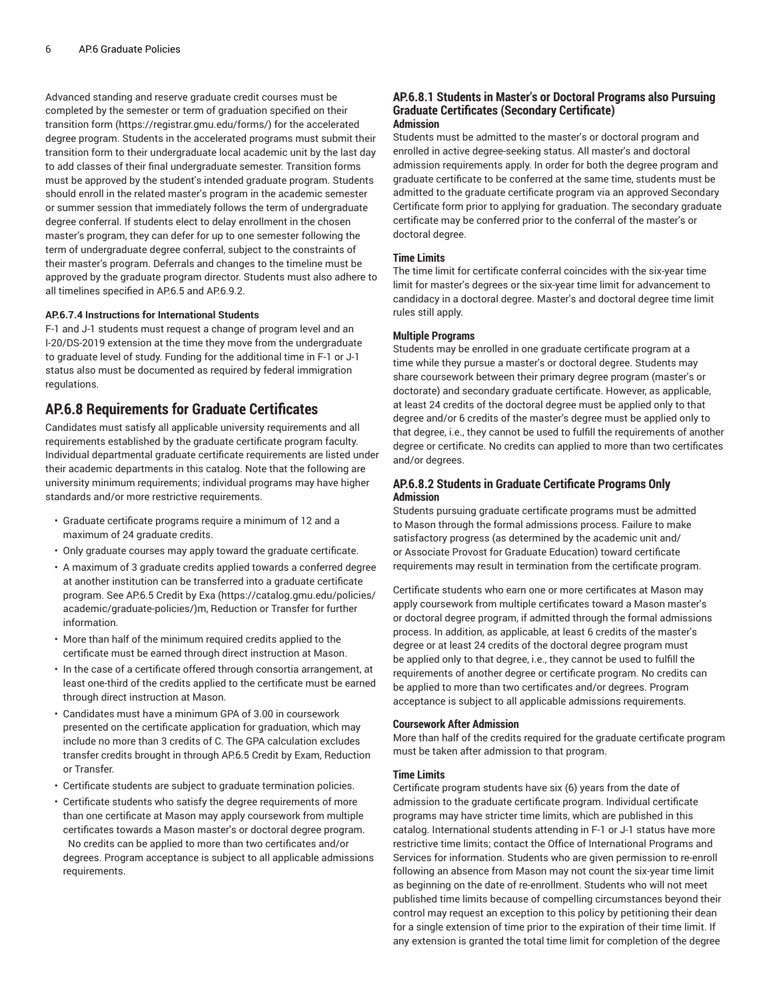Advanced standing and reserve graduate credit courses must be completed by the semester or term of graduation specified on their transition [form](https://registrar.gmu.edu/forms/) [\(https://registrar.gmu.edu/forms/\)](https://registrar.gmu.edu/forms/) for the accelerated degree program. Students in the accelerated programs must submit their transition form to their undergraduate local academic unit by the last day to add classes of their final undergraduate semester. Transition forms must be approved by the student's intended graduate program. Students should enroll in the related master's program in the academic semester or summer session that immediately follows the term of undergraduate degree conferral. If students elect to delay enrollment in the chosen master's program, they can defer for up to one semester following the term of undergraduate degree conferral, subject to the constraints of their master's program. Deferrals and changes to the timeline must be approved by the graduate program director. Students must also adhere to all timelines specified in [AP.6.5](#page-2-2) and [AP.6.9.2](#page-6-2).

#### <span id="page-5-0"></span>**AP.6.7.4 Instructions for International Students**

F-1 and J-1 students must request a change of program level and an I-20/DS-2019 extension at the time they move from the undergraduate to graduate level of study. Funding for the additional time in F-1 or J-1 status also must be documented as required by federal immigration regulations.

# **AP.6.8 Requirements for Graduate Certificates**

Candidates must satisfy all applicable university requirements and all requirements established by the graduate certificate program faculty. Individual departmental graduate certificate requirements are listed under their academic departments in this catalog. Note that the following are university minimum requirements; individual programs may have higher standards and/or more restrictive requirements.

- Graduate certificate programs require a minimum of 12 and a maximum of 24 graduate credits.
- Only graduate courses may apply toward the graduate certificate.
- A maximum of 3 graduate credits applied towards a conferred degree at another institution can be transferred into a graduate certificate program. See [AP.6.5](https://catalog.gmu.edu/policies/academic/graduate-policies/) Credit by Exa [\(https://catalog.gmu.edu/policies/](https://catalog.gmu.edu/policies/academic/graduate-policies/) [academic/graduate-policies/\)](https://catalog.gmu.edu/policies/academic/graduate-policies/)m, [Reduction](#page-2-2) or Transfer for further information.
- More than half of the minimum required credits applied to the certificate must be earned through direct instruction at Mason.
- In the case of a certificate offered through consortia arrangement, at least one-third of the credits applied to the certificate must be earned through direct instruction at Mason.
- Candidates must have a minimum GPA of 3.00 in coursework presented on the certificate application for graduation, which may include no more than 3 credits of C. The GPA calculation excludes transfer credits brought in through AP.6.5 Credit by Exam, Reduction or Transfer.
- Certificate students are subject to graduate termination policies.
- Certificate students who satisfy the degree requirements of more than one certificate at Mason may apply coursework from multiple certificates towards a Mason master's or doctoral degree program. No credits can be applied to more than two certificates and/or degrees. Program acceptance is subject to all applicable admissions requirements.

#### <span id="page-5-1"></span>**AP.6.8.1 Students in Master's or Doctoral Programs also Pursuing Graduate Certificates (Secondary Certificate) Admission**

Students must be admitted to the master's or doctoral program and enrolled in active degree-seeking status. All master's and doctoral admission requirements apply. In order for both the degree program and graduate certificate to be conferred at the same time, students must be admitted to the graduate certificate program via an approved Secondary Certificate form prior to applying for graduation. The secondary graduate certificate may be conferred prior to the conferral of the master's or doctoral degree.

## **Time Limits**

The time limit for certificate conferral coincides with the six-year time limit for master's degrees or the six-year time limit for advancement to candidacy in a doctoral degree. Master's and doctoral degree time limit rules still apply.

#### **Multiple Programs**

Students may be enrolled in one graduate certificate program at a time while they pursue a master's or doctoral degree. Students may share coursework between their primary degree program (master's or doctorate) and secondary graduate certificate. However, as applicable, at least 24 credits of the doctoral degree must be applied only to that degree and/or 6 credits of the master's degree must be applied only to that degree, i.e., they cannot be used to fulfill the requirements of another degree or certificate. No credits can applied to more than two certificates and/or degrees.

## <span id="page-5-2"></span>**AP.6.8.2 Students in Graduate Certificate Programs Only Admission**

Students pursuing graduate certificate programs must be admitted to Mason through the formal admissions process. Failure to make satisfactory progress (as determined by the academic unit and/ or Associate Provost for Graduate Education) toward certificate requirements may result in termination from the certificate program.

Certificate students who earn one or more certificates at Mason may apply coursework from multiple certificates toward a Mason master's or doctoral degree program, if admitted through the formal admissions process. In addition, as applicable, at least 6 credits of the master's degree or at least 24 credits of the doctoral degree program must be applied only to that degree, i.e., they cannot be used to fulfill the requirements of another degree or certificate program. No credits can be applied to more than two certificates and/or degrees. Program acceptance is subject to all applicable admissions requirements.

#### **Coursework After Admission**

More than half of the credits required for the graduate certificate program must be taken after admission to that program.

#### **Time Limits**

Certificate program students have six (6) years from the date of admission to the graduate certificate program. Individual certificate programs may have stricter time limits, which are published in this catalog. International students attending in F-1 or J-1 status have more restrictive time limits; contact the Office of International Programs and Services for information. Students who are given permission to re-enroll following an absence from Mason may not count the six-year time limit as beginning on the date of re-enrollment. Students who will not meet published time limits because of compelling circumstances beyond their control may request an exception to this policy by petitioning their dean for a single extension of time prior to the expiration of their time limit. If any extension is granted the total time limit for completion of the degree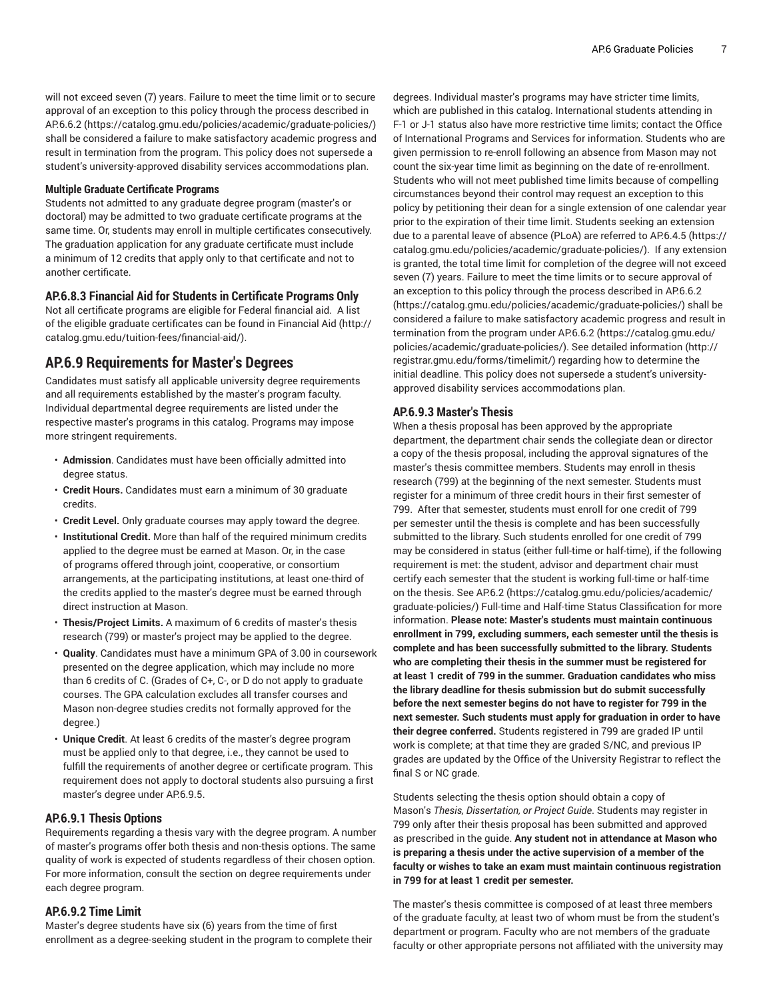will not exceed seven (7) years. Failure to meet the time limit or to secure approval of an exception to this policy through the process described in [AP.6.6.2 \(https://catalog.gmu.edu/policies/academic/graduate-policies/](https://catalog.gmu.edu/policies/academic/graduate-policies/)) shall be considered a failure to make satisfactory academic progress and result in termination from the program. This policy does not supersede a student's university-approved disability services accommodations plan.

#### **Multiple Graduate Certificate Programs**

Students not admitted to any graduate degree program (master's or doctoral) may be admitted to two graduate certificate programs at the same time. Or, students may enroll in multiple certificates consecutively. The graduation application for any graduate certificate must include a minimum of 12 credits that apply only to that certificate and not to another certificate.

# <span id="page-6-0"></span>**AP.6.8.3 Financial Aid for Students in Certificate Programs Only**

Not all certificate programs are eligible for Federal financial aid. A list of the eligible graduate certificates can be found in [Financial Aid \(http://](http://catalog.gmu.edu/tuition-fees/financial-aid/) [catalog.gmu.edu/tuition-fees/financial-aid/\)](http://catalog.gmu.edu/tuition-fees/financial-aid/).

# **AP.6.9 Requirements for Master's Degrees**

Candidates must satisfy all applicable university degree requirements and all requirements established by the master's program faculty. Individual departmental degree requirements are listed under the respective master's programs in this catalog. Programs may impose more stringent requirements.

- **Admission**. Candidates must have been officially admitted into degree status.
- **Credit Hours.** Candidates must earn a minimum of 30 graduate credits.
- **Credit Level.** Only graduate courses may apply toward the degree.
- **Institutional Credit.** More than half of the required minimum credits applied to the degree must be earned at Mason. Or, in the case of programs offered through joint, cooperative, or consortium arrangements, at the participating institutions, at least one-third of the credits applied to the master's degree must be earned through direct instruction at Mason.
- **Thesis/Project Limits.** A maximum of 6 credits of master's thesis research (799) or master's project may be applied to the degree.
- **Quality**. Candidates must have a minimum GPA of 3.00 in coursework presented on the degree application, which may include no more than 6 credits of C. (Grades of C+, C-, or D do not apply to graduate courses. The GPA calculation excludes all transfer courses and Mason non-degree studies credits not formally approved for the degree.)
- **Unique Credit**. At least 6 credits of the master's degree program must be applied only to that degree, i.e., they cannot be used to fulfill the requirements of another degree or certificate program. This requirement does not apply to doctoral students also pursuing a first master's degree under AP.6.9.5.

#### <span id="page-6-1"></span>**AP.6.9.1 Thesis Options**

Requirements regarding a thesis vary with the degree program. A number of master's programs offer both thesis and non-thesis options. The same quality of work is expected of students regardless of their chosen option. For more information, consult the section on degree requirements under each degree program.

#### <span id="page-6-2"></span>**AP.6.9.2 Time Limit**

Master's degree students have six (6) years from the time of first enrollment as a degree-seeking student in the program to complete their

degrees. Individual master's programs may have stricter time limits, which are published in this catalog. International students attending in F-1 or J-1 status also have more restrictive time limits; contact the Office of International Programs and Services for information. Students who are given permission to re-enroll following an absence from Mason may not count the six-year time limit as beginning on the date of re-enrollment. Students who will not meet published time limits because of compelling circumstances beyond their control may request an exception to this policy by petitioning their dean for a single extension of one calendar year prior to the expiration of their time limit. Students seeking an extension due to a parental leave of absence (PLoA) are referred to [AP.6.4.5 \(https://](https://catalog.gmu.edu/policies/academic/graduate-policies/) [catalog.gmu.edu/policies/academic/graduate-policies/](https://catalog.gmu.edu/policies/academic/graduate-policies/)). If any extension is granted, the total time limit for completion of the degree will not exceed seven (7) years. Failure to meet the time limits or to secure approval of an exception to this policy through the process described in [AP.6.6.2](https://catalog.gmu.edu/policies/academic/graduate-policies/) [\(https://catalog.gmu.edu/policies/academic/graduate-policies/](https://catalog.gmu.edu/policies/academic/graduate-policies/)) shall be considered a failure to make satisfactory academic progress and result in termination from the program under [AP.6.6.2](https://catalog.gmu.edu/policies/academic/graduate-policies/) ([https://catalog.gmu.edu/](https://catalog.gmu.edu/policies/academic/graduate-policies/) [policies/academic/graduate-policies/](https://catalog.gmu.edu/policies/academic/graduate-policies/)). See [detailed information](http://registrar.gmu.edu/forms/timelimit/) ([http://](http://registrar.gmu.edu/forms/timelimit/) [registrar.gmu.edu/forms/timelimit/\)](http://registrar.gmu.edu/forms/timelimit/) regarding how to determine the initial deadline. This policy does not supersede a student's universityapproved disability services accommodations plan.

#### <span id="page-6-3"></span>**AP.6.9.3 Master's Thesis**

When a thesis proposal has been approved by the appropriate department, the department chair sends the collegiate dean or director a copy of the thesis proposal, including the approval signatures of the master's thesis committee members. Students may enroll in thesis research (799) at the beginning of the next semester. Students must register for a minimum of three credit hours in their first semester of 799. After that semester, students must enroll for one credit of 799 per semester until the thesis is complete and has been successfully submitted to the library. Such students enrolled for one credit of 799 may be considered in status (either full-time or half-time), if the following requirement is met: the student, advisor and department chair must certify each semester that the student is working full-time or half-time on the thesis. See [AP.6.2](https://catalog.gmu.edu/policies/academic/graduate-policies/) [\(https://catalog.gmu.edu/policies/academic/](https://catalog.gmu.edu/policies/academic/graduate-policies/) [graduate-policies/\)](https://catalog.gmu.edu/policies/academic/graduate-policies/) Full-time and Half-time Status Classification for more information. **Please note: Master's students must maintain continuous enrollment in 799, excluding summers, each semester until the thesis is complete and has been successfully submitted to the library. Students who are completing their thesis in the summer must be registered for at least 1 credit of 799 in the summer. Graduation candidates who miss the library deadline for thesis submission but do submit successfully before the next semester begins do not have to register for 799 in the next semester. Such students must apply for graduation in order to have their degree conferred.** Students registered in 799 are graded IP until work is complete; at that time they are graded S/NC, and previous IP grades are updated by the Office of the University Registrar to reflect the final S or NC grade.

Students selecting the thesis option should obtain a copy of Mason's *Thesis, Dissertation, or Project Guide*. Students may register in 799 only after their thesis proposal has been submitted and approved as prescribed in the guide. **Any student not in attendance at Mason who is preparing a thesis under the active supervision of a member of the faculty or wishes to take an exam must maintain continuous registration in 799 for at least 1 credit per semester.**

The master's thesis committee is composed of at least three members of the graduate faculty, at least two of whom must be from the student's department or program. Faculty who are not members of the graduate faculty or other appropriate persons not affiliated with the university may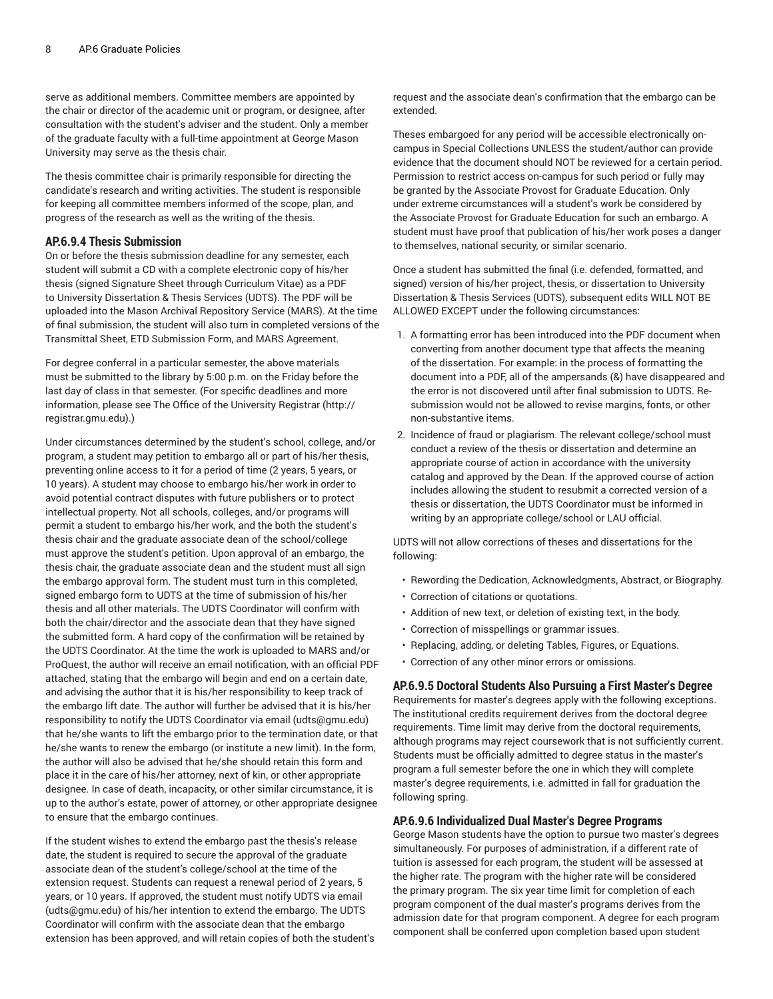serve as additional members. Committee members are appointed by the chair or director of the academic unit or program, or designee, after consultation with the student's adviser and the student. Only a member of the graduate faculty with a full-time appointment at George Mason University may serve as the thesis chair.

The thesis committee chair is primarily responsible for directing the candidate's research and writing activities. The student is responsible for keeping all committee members informed of the scope, plan, and progress of the research as well as the writing of the thesis.

# <span id="page-7-0"></span>**AP.6.9.4 Thesis Submission**

On or before the thesis submission deadline for any semester, each student will submit a CD with a complete electronic copy of his/her thesis (signed Signature Sheet through Curriculum Vitae) as a PDF to University Dissertation & Thesis Services (UDTS). The PDF will be uploaded into the Mason Archival Repository Service (MARS). At the time of final submission, the student will also turn in completed versions of the Transmittal Sheet, ETD Submission Form, and MARS Agreement.

For degree conferral in a particular semester, the above materials must be submitted to the library by 5:00 p.m. on the Friday before the last day of class in that semester. (For specific deadlines and more information, please see The Office of the [University](http://registrar.gmu.edu) Registrar [\(http://](http://registrar.gmu.edu) [registrar.gmu.edu](http://registrar.gmu.edu)).)

Under circumstances determined by the student's school, college, and/or program, a student may petition to embargo all or part of his/her thesis, preventing online access to it for a period of time (2 years, 5 years, or 10 years). A student may choose to embargo his/her work in order to avoid potential contract disputes with future publishers or to protect intellectual property. Not all schools, colleges, and/or programs will permit a student to embargo his/her work, and the both the student's thesis chair and the graduate associate dean of the school/college must approve the student's petition. Upon approval of an embargo, the thesis chair, the graduate associate dean and the student must all sign the embargo approval form. The student must turn in this completed, signed embargo form to UDTS at the time of submission of his/her thesis and all other materials. The UDTS Coordinator will confirm with both the chair/director and the associate dean that they have signed the submitted form. A hard copy of the confirmation will be retained by the UDTS Coordinator. At the time the work is uploaded to MARS and/or ProQuest, the author will receive an email notification, with an official PDF attached, stating that the embargo will begin and end on a certain date, and advising the author that it is his/her responsibility to keep track of the embargo lift date. The author will further be advised that it is his/her responsibility to notify the UDTS Coordinator via email ([udts@gmu.edu](mailto:udts@gmu.edu)) that he/she wants to lift the embargo prior to the termination date, or that he/she wants to renew the embargo (or institute a new limit). In the form, the author will also be advised that he/she should retain this form and place it in the care of his/her attorney, next of kin, or other appropriate designee. In case of death, incapacity, or other similar circumstance, it is up to the author's estate, power of attorney, or other appropriate designee to ensure that the embargo continues.

If the student wishes to extend the embargo past the thesis's release date, the student is required to secure the approval of the graduate associate dean of the student's college/school at the time of the extension request. Students can request a renewal period of 2 years, 5 years, or 10 years. If approved, the student must notify [UDTS](mailto:udts@gmu.edu) via email (<udts@gmu.edu>) of his/her intention to extend the embargo. The UDTS Coordinator will confirm with the associate dean that the embargo extension has been approved, and will retain copies of both the student's request and the associate dean's confirmation that the embargo can be extended.

Theses embargoed for any period will be accessible electronically oncampus in Special Collections UNLESS the student/author can provide evidence that the document should NOT be reviewed for a certain period. Permission to restrict access on-campus for such period or fully may be granted by the Associate Provost for Graduate Education. Only under extreme circumstances will a student's work be considered by the Associate Provost for Graduate Education for such an embargo. A student must have proof that publication of his/her work poses a danger to themselves, national security, or similar scenario.

Once a student has submitted the final (i.e. defended, formatted, and signed) version of his/her project, thesis, or dissertation to University Dissertation & Thesis Services (UDTS), subsequent edits WILL NOT BE ALLOWED EXCEPT under the following circumstances:

- 1. A formatting error has been introduced into the PDF document when converting from another document type that affects the meaning of the dissertation. For example: in the process of formatting the document into a PDF, all of the ampersands (&) have disappeared and the error is not discovered until after final submission to UDTS. Resubmission would not be allowed to revise margins, fonts, or other non-substantive items.
- 2. Incidence of fraud or plagiarism. The relevant college/school must conduct a review of the thesis or dissertation and determine an appropriate course of action in accordance with the university catalog and approved by the Dean. If the approved course of action includes allowing the student to resubmit a corrected version of a thesis or dissertation, the UDTS Coordinator must be informed in writing by an appropriate college/school or LAU official.

UDTS will not allow corrections of theses and dissertations for the following:

- Rewording the Dedication, Acknowledgments, Abstract, or Biography.
- Correction of citations or quotations.
- Addition of new text, or deletion of existing text, in the body.
- Correction of misspellings or grammar issues.
- Replacing, adding, or deleting Tables, Figures, or Equations.
- <span id="page-7-1"></span>• Correction of any other minor errors or omissions.

## **AP.6.9.5 Doctoral Students Also Pursuing a First Master's Degree**

Requirements for master's degrees apply with the following exceptions. The institutional credits requirement derives from the doctoral degree requirements. Time limit may derive from the doctoral requirements, although programs may reject coursework that is not sufficiently current. Students must be officially admitted to degree status in the master's program a full semester before the one in which they will complete master's degree requirements, i.e. admitted in fall for graduation the following spring.

#### <span id="page-7-2"></span>**AP.6.9.6 Individualized Dual Master's Degree Programs**

George Mason students have the option to pursue two master's degrees simultaneously. For purposes of administration, if a different rate of tuition is assessed for each program, the student will be assessed at the higher rate. The program with the higher rate will be considered the primary program. The six year time limit for completion of each program component of the dual master's programs derives from the admission date for that program component. A degree for each program component shall be conferred upon completion based upon student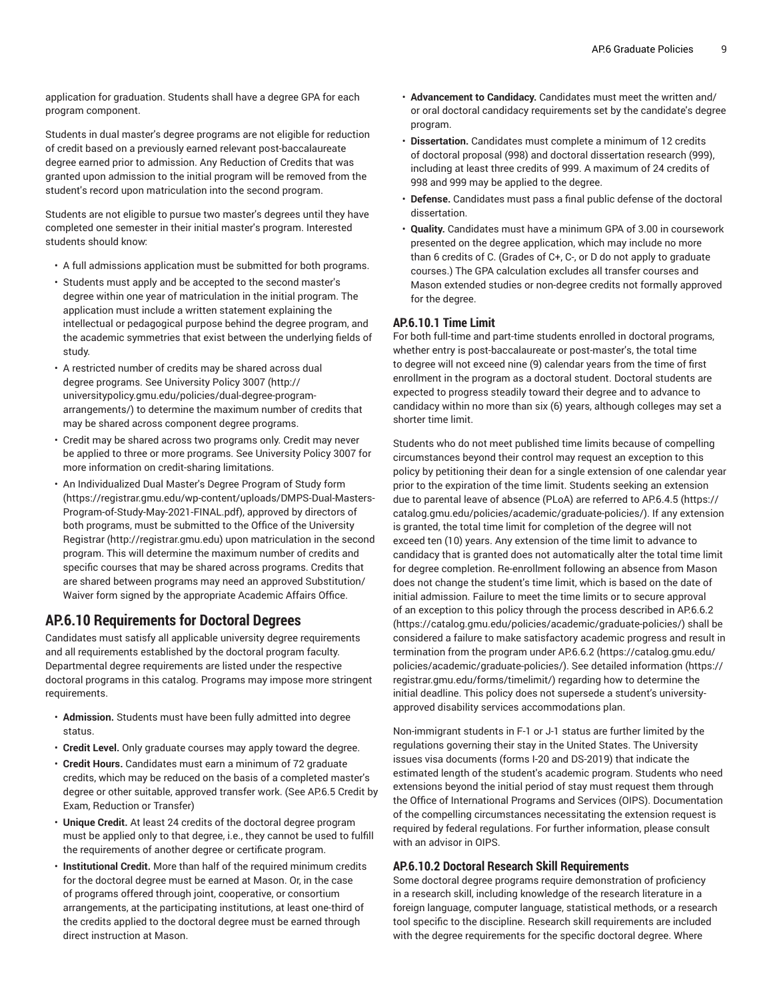application for graduation. Students shall have a degree GPA for each program component.

Students in dual master's degree programs are not eligible for reduction of credit based on a previously earned relevant post-baccalaureate degree earned prior to admission. Any Reduction of Credits that was granted upon admission to the initial program will be removed from the student's record upon matriculation into the second program.

Students are not eligible to pursue two master's degrees until they have completed one semester in their initial master's program. Interested students should know:

- A full admissions application must be submitted for both programs.
- Students must apply and be accepted to the second master's degree within one year of matriculation in the initial program. The application must include a written statement explaining the intellectual or pedagogical purpose behind the degree program, and the academic symmetries that exist between the underlying fields of study.
- A restricted number of credits may be shared across dual degree programs. See [University](http://universitypolicy.gmu.edu/policies/dual-degree-program-arrangements/) Policy 3007 ([http://](http://universitypolicy.gmu.edu/policies/dual-degree-program-arrangements/) [universitypolicy.gmu.edu/policies/dual-degree-program](http://universitypolicy.gmu.edu/policies/dual-degree-program-arrangements/)[arrangements/\)](http://universitypolicy.gmu.edu/policies/dual-degree-program-arrangements/) to determine the maximum number of credits that may be shared across component degree programs.
- Credit may be shared across two programs only. Credit may never be applied to three or more programs. See University Policy 3007 for more information on credit-sharing limitations.
- An Individualized Dual Master's Degree Program of Study [form](https://registrar.gmu.edu/wp-content/uploads/DMPS-Dual-Masters-Program-of-Study-May-2021-FINAL.pdf) ([https://registrar.gmu.edu/wp-content/uploads/DMPS-Dual-Masters-](https://registrar.gmu.edu/wp-content/uploads/DMPS-Dual-Masters-Program-of-Study-May-2021-FINAL.pdf)[Program-of-Study-May-2021-FINAL.pdf\)](https://registrar.gmu.edu/wp-content/uploads/DMPS-Dual-Masters-Program-of-Study-May-2021-FINAL.pdf), approved by directors of both programs, must be submitted to the Office of the [University](http://registrar.gmu.edu) [Registrar](http://registrar.gmu.edu) (<http://registrar.gmu.edu>) upon matriculation in the second program. This will determine the maximum number of credits and specific courses that may be shared across programs. Credits that are shared between programs may need an approved Substitution/ Waiver form signed by the appropriate Academic Affairs Office.

# **AP.6.10 Requirements for Doctoral Degrees**

Candidates must satisfy all applicable university degree requirements and all requirements established by the doctoral program faculty. Departmental degree requirements are listed under the respective doctoral programs in this catalog. Programs may impose more stringent requirements.

- **Admission.** Students must have been fully admitted into degree status.
- **Credit Level.** Only graduate courses may apply toward the degree.
- **Credit Hours.** Candidates must earn a minimum of 72 graduate credits, which may be reduced on the basis of a completed master's degree or other suitable, approved transfer work. (See [AP.6.5](#page-2-2) Credit by Exam, [Reduction](#page-2-2) or Transfer)
- **Unique Credit.** At least 24 credits of the doctoral degree program must be applied only to that degree, i.e., they cannot be used to fulfill the requirements of another degree or certificate program.
- **Institutional Credit.** More than half of the required minimum credits for the doctoral degree must be earned at Mason. Or, in the case of programs offered through joint, cooperative, or consortium arrangements, at the participating institutions, at least one-third of the credits applied to the doctoral degree must be earned through direct instruction at Mason.
- **Advancement to Candidacy.** Candidates must meet the written and/ or oral doctoral candidacy requirements set by the candidate's degree program.
- **Dissertation.** Candidates must complete a minimum of 12 credits of doctoral proposal (998) and doctoral dissertation research (999), including at least three credits of 999. A maximum of 24 credits of 998 and 999 may be applied to the degree.
- **Defense.** Candidates must pass a final public defense of the doctoral dissertation.
- **Quality.** Candidates must have a minimum GPA of 3.00 in coursework presented on the degree application, which may include no more than 6 credits of C. (Grades of C+, C-, or D do not apply to graduate courses.) The GPA calculation excludes all transfer courses and Mason extended studies or non-degree credits not formally approved for the degree.

# <span id="page-8-0"></span>**AP.6.10.1 Time Limit**

For both full-time and part-time students enrolled in doctoral programs, whether entry is post-baccalaureate or post-master's, the total time to degree will not exceed nine (9) calendar years from the time of first enrollment in the program as a doctoral student. Doctoral students are expected to progress steadily toward their degree and to advance to candidacy within no more than six (6) years, although colleges may set a shorter time limit.

Students who do not meet published time limits because of compelling circumstances beyond their control may request an exception to this policy by petitioning their dean for a single extension of one calendar year prior to the expiration of the time limit. Students seeking an extension due to parental leave of absence (PLoA) are referred to [AP.6.4.5](https://catalog.gmu.edu/policies/academic/graduate-policies/) [\(https://](https://catalog.gmu.edu/policies/academic/graduate-policies/) [catalog.gmu.edu/policies/academic/graduate-policies/](https://catalog.gmu.edu/policies/academic/graduate-policies/)). If any extension is granted, the total time limit for completion of the degree will not exceed ten (10) years. Any extension of the time limit to advance to candidacy that is granted does not automatically alter the total time limit for degree completion. Re-enrollment following an absence from Mason does not change the student's time limit, which is based on the date of initial admission. Failure to meet the time limits or to secure approval of an exception to this policy through the process described in [AP.6.6.2](https://catalog.gmu.edu/policies/academic/graduate-policies/) [\(https://catalog.gmu.edu/policies/academic/graduate-policies/](https://catalog.gmu.edu/policies/academic/graduate-policies/)) shall be considered a failure to make satisfactory academic progress and result in termination from the program under [AP.6.6.2](https://catalog.gmu.edu/policies/academic/graduate-policies/) ([https://catalog.gmu.edu/](https://catalog.gmu.edu/policies/academic/graduate-policies/) [policies/academic/graduate-policies/](https://catalog.gmu.edu/policies/academic/graduate-policies/)). See [detailed information](https://registrar.gmu.edu/forms/timelimit/) ([https://](https://registrar.gmu.edu/forms/timelimit/) [registrar.gmu.edu/forms/timelimit/\)](https://registrar.gmu.edu/forms/timelimit/) regarding how to determine the initial deadline. This policy does not supersede a student's universityapproved disability services accommodations plan.

Non-immigrant students in F-1 or J-1 status are further limited by the regulations governing their stay in the United States. The University issues visa documents (forms I-20 and DS-2019) that indicate the estimated length of the student's academic program. Students who need extensions beyond the initial period of stay must request them through the Office of International Programs and Services (OIPS). Documentation of the compelling circumstances necessitating the extension request is required by federal regulations. For further information, please consult with an advisor in OIPS.

# <span id="page-8-1"></span>**AP.6.10.2 Doctoral Research Skill Requirements**

Some doctoral degree programs require demonstration of proficiency in a research skill, including knowledge of the research literature in a foreign language, computer language, statistical methods, or a research tool specific to the discipline. Research skill requirements are included with the degree requirements for the specific doctoral degree. Where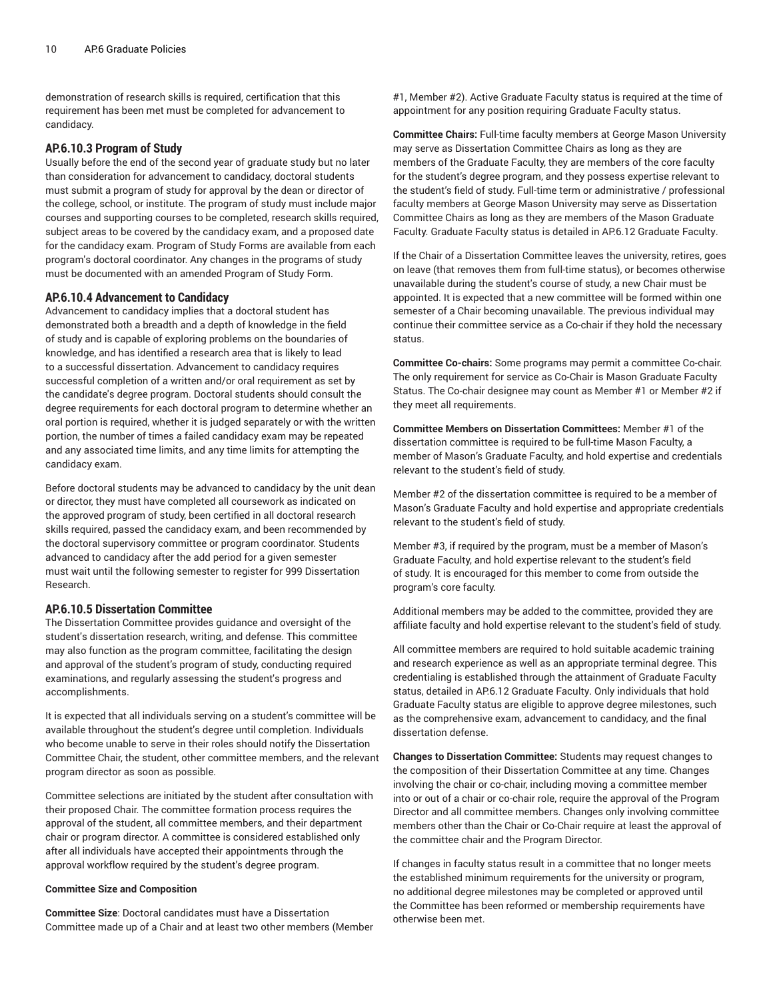demonstration of research skills is required, certification that this requirement has been met must be completed for advancement to candidacy.

#### <span id="page-9-0"></span>**AP.6.10.3 Program of Study**

Usually before the end of the second year of graduate study but no later than consideration for advancement to candidacy, doctoral students must submit a program of study for approval by the dean or director of the college, school, or institute. The program of study must include major courses and supporting courses to be completed, research skills required, subject areas to be covered by the candidacy exam, and a proposed date for the candidacy exam. Program of Study Forms are available from each program's doctoral coordinator. Any changes in the programs of study must be documented with an amended Program of Study Form.

#### <span id="page-9-1"></span>**AP.6.10.4 Advancement to Candidacy**

Advancement to candidacy implies that a doctoral student has demonstrated both a breadth and a depth of knowledge in the field of study and is capable of exploring problems on the boundaries of knowledge, and has identified a research area that is likely to lead to a successful dissertation. Advancement to candidacy requires successful completion of a written and/or oral requirement as set by the candidate's degree program. Doctoral students should consult the degree requirements for each doctoral program to determine whether an oral portion is required, whether it is judged separately or with the written portion, the number of times a failed candidacy exam may be repeated and any associated time limits, and any time limits for attempting the candidacy exam.

Before doctoral students may be advanced to candidacy by the unit dean or director, they must have completed all coursework as indicated on the approved program of study, been certified in all doctoral research skills required, passed the candidacy exam, and been recommended by the doctoral supervisory committee or program coordinator. Students advanced to candidacy after the add period for a given semester must wait until the following semester to register for 999 Dissertation Research.

#### <span id="page-9-2"></span>**AP.6.10.5 Dissertation Committee**

The Dissertation Committee provides guidance and oversight of the student's dissertation research, writing, and defense. This committee may also function as the program committee, facilitating the design and approval of the student's program of study, conducting required examinations, and regularly assessing the student's progress and accomplishments.

It is expected that all individuals serving on a student's committee will be available throughout the student's degree until completion. Individuals who become unable to serve in their roles should notify the Dissertation Committee Chair, the student, other committee members, and the relevant program director as soon as possible.

Committee selections are initiated by the student after consultation with their proposed Chair. The committee formation process requires the approval of the student, all committee members, and their department chair or program director. A committee is considered established only after all individuals have accepted their appointments through the approval workflow required by the student's degree program.

#### **Committee Size and Composition**

**Committee Size**: Doctoral candidates must have a Dissertation Committee made up of a Chair and at least two other members (Member #1, Member #2). Active Graduate Faculty status is required at the time of appointment for any position requiring Graduate Faculty status.

**Committee Chairs:** Full-time faculty members at George Mason University may serve as Dissertation Committee Chairs as long as they are members of the Graduate Faculty, they are members of the core faculty for the student's degree program, and they possess expertise relevant to the student's field of study. Full-time term or administrative / professional faculty members at George Mason University may serve as Dissertation Committee Chairs as long as they are members of the Mason Graduate Faculty. Graduate Faculty status is detailed in AP.6.12 [Graduate](#page-12-0) Faculty.

If the Chair of a Dissertation Committee leaves the university, retires, goes on leave (that removes them from full-time status), or becomes otherwise unavailable during the student's course of study, a new Chair must be appointed. It is expected that a new committee will be formed within one semester of a Chair becoming unavailable. The previous individual may continue their committee service as a Co-chair if they hold the necessary status.

**Committee Co-chairs:** Some programs may permit a committee Co-chair. The only requirement for service as Co-Chair is Mason Graduate Faculty Status. The Co-chair designee may count as Member #1 or Member #2 if they meet all requirements.

**Committee Members on Dissertation Committees:** Member #1 of the dissertation committee is required to be full-time Mason Faculty, a member of Mason's Graduate Faculty, and hold expertise and credentials relevant to the student's field of study.

Member #2 of the dissertation committee is required to be a member of Mason's Graduate Faculty and hold expertise and appropriate credentials relevant to the student's field of study.

Member #3, if required by the program, must be a member of Mason's Graduate Faculty, and hold expertise relevant to the student's field of study. It is encouraged for this member to come from outside the program's core faculty.

Additional members may be added to the committee, provided they are affiliate faculty and hold expertise relevant to the student's field of study.

All committee members are required to hold suitable academic training and research experience as well as an appropriate terminal degree. This credentialing is established through the attainment of Graduate Faculty status, detailed in AP.6.12 [Graduate](#page-12-0) Faculty. Only individuals that hold Graduate Faculty status are eligible to approve degree milestones, such as the comprehensive exam, advancement to candidacy, and the final dissertation defense.

**Changes to Dissertation Committee:** Students may request changes to the composition of their Dissertation Committee at any time. Changes involving the chair or co-chair, including moving a committee member into or out of a chair or co-chair role, require the approval of the Program Director and all committee members. Changes only involving committee members other than the Chair or Co-Chair require at least the approval of the committee chair and the Program Director.

If changes in faculty status result in a committee that no longer meets the established minimum requirements for the university or program, no additional degree milestones may be completed or approved until the Committee has been reformed or membership requirements have otherwise been met.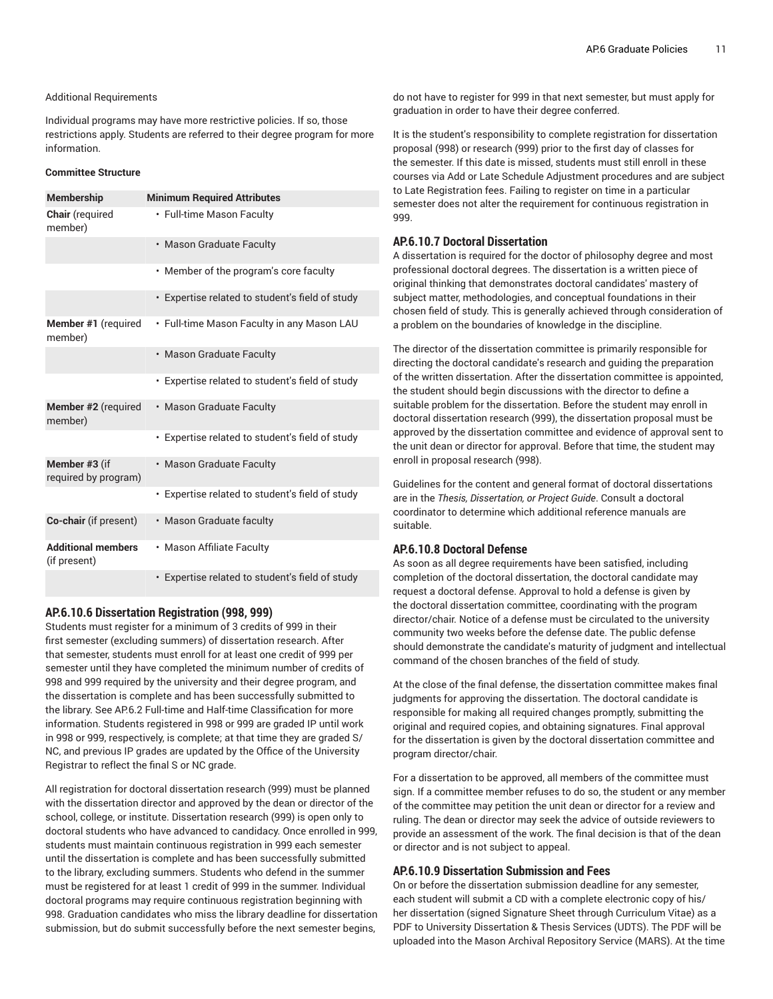#### Additional Requirements

Individual programs may have more restrictive policies. If so, those restrictions apply. Students are referred to their degree program for more information.

#### **Committee Structure**

| <b>Membership</b>                         | <b>Minimum Required Attributes</b>              |
|-------------------------------------------|-------------------------------------------------|
| Chair (required<br>member)                | • Full-time Mason Faculty                       |
|                                           | • Mason Graduate Faculty                        |
|                                           | • Member of the program's core faculty          |
|                                           | • Expertise related to student's field of study |
| <b>Member #1</b> (required<br>member)     | • Full-time Mason Faculty in any Mason LAU      |
|                                           | • Mason Graduate Faculty                        |
|                                           | • Expertise related to student's field of study |
| Member #2 (required<br>member)            | • Mason Graduate Faculty                        |
|                                           | • Expertise related to student's field of study |
| Member #3 (if<br>required by program)     | • Mason Graduate Faculty                        |
|                                           | • Expertise related to student's field of study |
| Co-chair (if present)                     | • Mason Graduate faculty                        |
| <b>Additional members</b><br>(if present) | • Mason Affiliate Faculty                       |
|                                           | • Expertise related to student's field of study |

#### <span id="page-10-0"></span>**AP.6.10.6 Dissertation Registration (998, 999)**

Students must register for a minimum of 3 credits of 999 in their first semester (excluding summers) of dissertation research. After that semester, students must enroll for at least one credit of 999 per semester until they have completed the minimum number of credits of 998 and 999 required by the university and their degree program, and the dissertation is complete and has been successfully submitted to the library. See AP.6.2 Full-time and Half-time [Classification](#page-0-0) for more information. Students registered in 998 or 999 are graded IP until work in 998 or 999, respectively, is complete; at that time they are graded S/ NC, and previous IP grades are updated by the Office of the University Registrar to reflect the final S or NC grade.

All registration for doctoral dissertation research (999) must be planned with the dissertation director and approved by the dean or director of the school, college, or institute. Dissertation research (999) is open only to doctoral students who have advanced to candidacy. Once enrolled in 999, students must maintain continuous registration in 999 each semester until the dissertation is complete and has been successfully submitted to the library, excluding summers. Students who defend in the summer must be registered for at least 1 credit of 999 in the summer. Individual doctoral programs may require continuous registration beginning with 998. Graduation candidates who miss the library deadline for dissertation submission, but do submit successfully before the next semester begins,

do not have to register for 999 in that next semester, but must apply for graduation in order to have their degree conferred.

It is the student's responsibility to complete registration for dissertation proposal (998) or research (999) prior to the first day of classes for the semester. If this date is missed, students must still enroll in these courses via Add or Late Schedule Adjustment procedures and are subject to Late Registration fees. Failing to register on time in a particular semester does not alter the requirement for continuous registration in 999.

# <span id="page-10-1"></span>**AP.6.10.7 Doctoral Dissertation**

A dissertation is required for the doctor of philosophy degree and most professional doctoral degrees. The dissertation is a written piece of original thinking that demonstrates doctoral candidates' mastery of subject matter, methodologies, and conceptual foundations in their chosen field of study. This is generally achieved through consideration of a problem on the boundaries of knowledge in the discipline.

The director of the dissertation committee is primarily responsible for directing the doctoral candidate's research and guiding the preparation of the written dissertation. After the dissertation committee is appointed, the student should begin discussions with the director to define a suitable problem for the dissertation. Before the student may enroll in doctoral dissertation research (999), the dissertation proposal must be approved by the dissertation committee and evidence of approval sent to the unit dean or director for approval. Before that time, the student may enroll in proposal research (998).

Guidelines for the content and general format of doctoral dissertations are in the *Thesis, Dissertation, or Project Guide*. Consult a doctoral coordinator to determine which additional reference manuals are suitable.

# <span id="page-10-2"></span>**AP.6.10.8 Doctoral Defense**

As soon as all degree requirements have been satisfied, including completion of the doctoral dissertation, the doctoral candidate may request a doctoral defense. Approval to hold a defense is given by the doctoral dissertation committee, coordinating with the program director/chair. Notice of a defense must be circulated to the university community two weeks before the defense date. The public defense should demonstrate the candidate's maturity of judgment and intellectual command of the chosen branches of the field of study.

At the close of the final defense, the dissertation committee makes final judgments for approving the dissertation. The doctoral candidate is responsible for making all required changes promptly, submitting the original and required copies, and obtaining signatures. Final approval for the dissertation is given by the doctoral dissertation committee and program director/chair.

For a dissertation to be approved, all members of the committee must sign. If a committee member refuses to do so, the student or any member of the committee may petition the unit dean or director for a review and ruling. The dean or director may seek the advice of outside reviewers to provide an assessment of the work. The final decision is that of the dean or director and is not subject to appeal.

# <span id="page-10-3"></span>**AP.6.10.9 Dissertation Submission and Fees**

On or before the dissertation submission deadline for any semester, each student will submit a CD with a complete electronic copy of his/ her dissertation (signed Signature Sheet through Curriculum Vitae) as a PDF to University Dissertation & Thesis Services (UDTS). The PDF will be uploaded into the Mason Archival Repository Service (MARS). At the time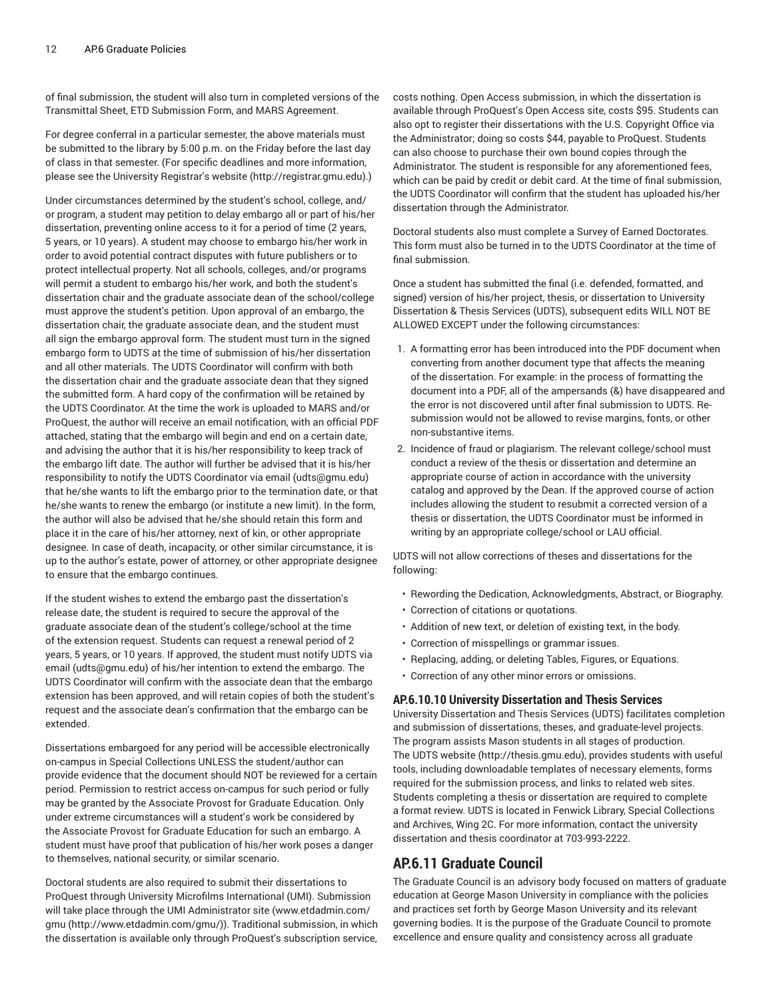of final submission, the student will also turn in completed versions of the Transmittal Sheet, ETD Submission Form, and MARS Agreement.

For degree conferral in a particular semester, the above materials must be submitted to the library by 5:00 p.m. on the Friday before the last day of class in that semester. (For specific deadlines and more information, please see the University [Registrar's](http://registrar.gmu.edu) website (<http://registrar.gmu.edu>).)

Under circumstances determined by the student's school, college, and/ or program, a student may petition to delay embargo all or part of his/her dissertation, preventing online access to it for a period of time (2 years, 5 years, or 10 years). A student may choose to embargo his/her work in order to avoid potential contract disputes with future publishers or to protect intellectual property. Not all schools, colleges, and/or programs will permit a student to embargo his/her work, and both the student's dissertation chair and the graduate associate dean of the school/college must approve the student's petition. Upon approval of an embargo, the dissertation chair, the graduate associate dean, and the student must all sign the embargo approval form. The student must turn in the signed embargo form to UDTS at the time of submission of his/her dissertation and all other materials. The UDTS Coordinator will confirm with both the dissertation chair and the graduate associate dean that they signed the submitted form. A hard copy of the confirmation will be retained by the UDTS Coordinator. At the time the work is uploaded to MARS and/or ProQuest, the author will receive an email notification, with an official PDF attached, stating that the embargo will begin and end on a certain date, and advising the author that it is his/her responsibility to keep track of the embargo lift date. The author will further be advised that it is his/her responsibility to notify the UDTS Coordinator via email ([udts@gmu.edu](mailto:udts@gmu.edu)) that he/she wants to lift the embargo prior to the termination date, or that he/she wants to renew the embargo (or institute a new limit). In the form, the author will also be advised that he/she should retain this form and place it in the care of his/her attorney, next of kin, or other appropriate designee. In case of death, incapacity, or other similar circumstance, it is up to the author's estate, power of attorney, or other appropriate designee to ensure that the embargo continues.

If the student wishes to extend the embargo past the dissertation's release date, the student is required to secure the approval of the graduate associate dean of the student's college/school at the time of the extension request. Students can request a renewal period of 2 years, 5 years, or 10 years. If approved, the student must notify [UDTS](mailto:udts@gmu.edu) via [email](mailto:udts@gmu.edu) [\(udts@gmu.edu\)](udts@gmu.edu) of his/her intention to extend the embargo. The UDTS Coordinator will confirm with the associate dean that the embargo extension has been approved, and will retain copies of both the student's request and the associate dean's confirmation that the embargo can be extended.

Dissertations embargoed for any period will be accessible electronically on-campus in Special Collections UNLESS the student/author can provide evidence that the document should NOT be reviewed for a certain period. Permission to restrict access on-campus for such period or fully may be granted by the Associate Provost for Graduate Education. Only under extreme circumstances will a student's work be considered by the Associate Provost for Graduate Education for such an embargo. A student must have proof that publication of his/her work poses a danger to themselves, national security, or similar scenario.

Doctoral students are also required to submit their dissertations to ProQuest through University Microfilms International (UMI). Submission will take place through the UMI Administrator site [\(www.etdadmin.com/](http://www.etdadmin.com/gmu/) [gmu](http://www.etdadmin.com/gmu/) (<http://www.etdadmin.com/gmu/>)). Traditional submission, in which the dissertation is available only through ProQuest's subscription service,

costs nothing. Open Access submission, in which the dissertation is available through ProQuest's Open Access site, costs \$95. Students can also opt to register their dissertations with the U.S. Copyright Office via the Administrator; doing so costs \$44, payable to ProQuest. Students can also choose to purchase their own bound copies through the Administrator. The student is responsible for any aforementioned fees, which can be paid by credit or debit card. At the time of final submission, the UDTS Coordinator will confirm that the student has uploaded his/her dissertation through the Administrator.

Doctoral students also must complete a Survey of Earned Doctorates. This form must also be turned in to the UDTS Coordinator at the time of final submission.

Once a student has submitted the final (i.e. defended, formatted, and signed) version of his/her project, thesis, or dissertation to University Dissertation & Thesis Services (UDTS), subsequent edits WILL NOT BE ALLOWED EXCEPT under the following circumstances:

- 1. A formatting error has been introduced into the PDF document when converting from another document type that affects the meaning of the dissertation. For example: in the process of formatting the document into a PDF, all of the ampersands (&) have disappeared and the error is not discovered until after final submission to UDTS. Resubmission would not be allowed to revise margins, fonts, or other non-substantive items.
- 2. Incidence of fraud or plagiarism. The relevant college/school must conduct a review of the thesis or dissertation and determine an appropriate course of action in accordance with the university catalog and approved by the Dean. If the approved course of action includes allowing the student to resubmit a corrected version of a thesis or dissertation, the UDTS Coordinator must be informed in writing by an appropriate college/school or LAU official.

UDTS will not allow corrections of theses and dissertations for the following:

- Rewording the Dedication, Acknowledgments, Abstract, or Biography.
- Correction of citations or quotations.
- Addition of new text, or deletion of existing text, in the body.
- Correction of misspellings or grammar issues.
- Replacing, adding, or deleting Tables, Figures, or Equations.
- Correction of any other minor errors or omissions.

## <span id="page-11-0"></span>**AP.6.10.10 University Dissertation and Thesis Services**

University Dissertation and Thesis Services (UDTS) facilitates completion and submission of dissertations, theses, and graduate-level projects. The program assists Mason students in all stages of production. The UDTS [website](http://thesis.gmu.edu) (<http://thesis.gmu.edu>), provides students with useful tools, including downloadable templates of necessary elements, forms required for the submission process, and links to related web sites. Students completing a thesis or dissertation are required to complete a format review. UDTS is located in Fenwick Library, Special Collections and Archives, Wing 2C. For more information, contact the university dissertation and thesis coordinator at [703-993-2222.](tel:703-993-2222)

# **AP.6.11 Graduate Council**

The Graduate Council is an advisory body focused on matters of graduate education at George Mason University in compliance with the policies and practices set forth by George Mason University and its relevant governing bodies. It is the purpose of the Graduate Council to promote excellence and ensure quality and consistency across all graduate